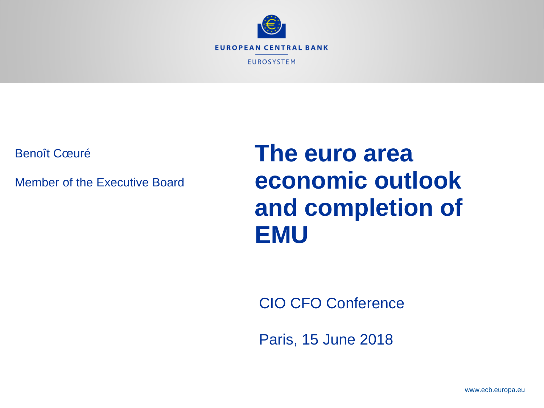

Benoît Cœuré

Member of the Executive Board

# **The euro area economic outlook and completion of EMU**

CIO CFO Conference

Paris, 15 June 2018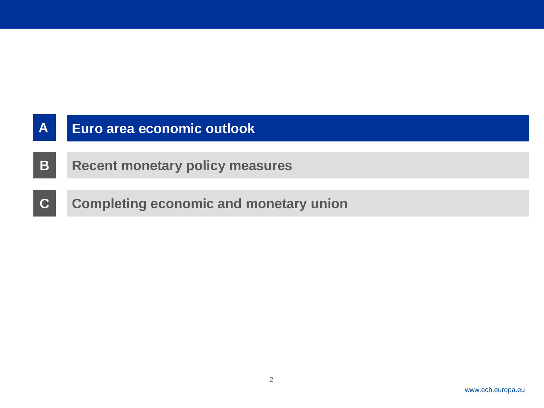| $\overline{A}$ | Euro area economic outlook                    |
|----------------|-----------------------------------------------|
| B.             | <b>Recent monetary policy measures</b>        |
| IC.            | <b>Completing economic and monetary union</b> |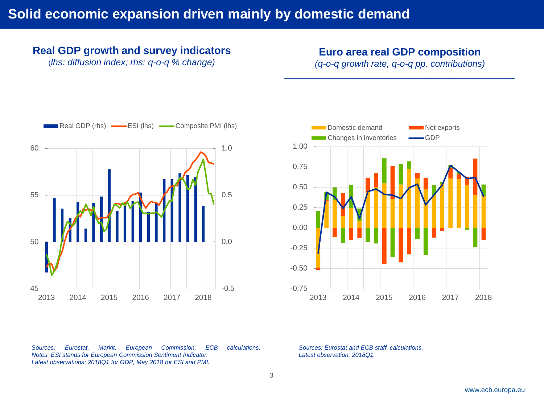## **Real GDP growth and survey indicators**

(*lhs: diffusion index; rhs: q-o-q % change) \_\_\_\_\_\_\_\_\_\_\_\_\_\_\_\_\_\_\_\_\_\_\_\_\_\_\_\_\_\_\_\_\_\_\_\_\_\_\_\_\_\_\_* **Euro area real GDP composition**

*(q-o-q growth rate, q-o-q pp. contributions) \_\_\_\_\_\_\_\_\_\_\_\_\_\_\_\_\_\_\_\_\_\_\_\_\_\_\_\_\_\_\_\_\_\_\_\_\_\_\_\_\_\_\_\_\_\_*



*Sources: Eurostat, Markit, European Commission, ECB calculations. Notes: ESI stands for European Commission Sentiment Indicator. Latest observations: 2018Q1 for GDP, May 2018 for ESI and PMI.*



*Sources: Eurostat and ECB staff calculations. Latest observation: 2018Q1.*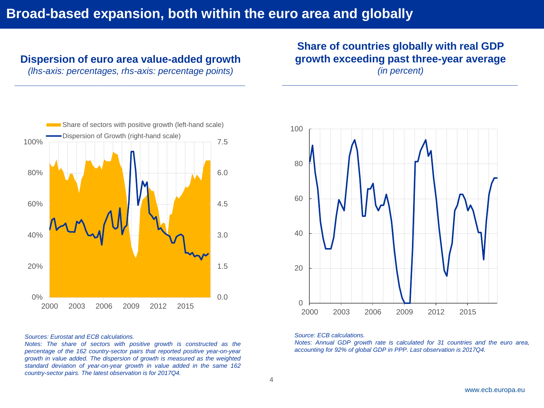## **Broad-based expansion, both within the euro area and globally**

### **Dispersion of euro area value-added growth**

*(lhs-axis: percentages, rhs-axis: percentage points) \_\_\_\_\_\_\_\_\_\_\_\_\_\_\_\_\_\_\_\_\_\_\_\_\_\_\_\_\_\_\_\_\_\_\_\_\_\_\_\_\_\_\_\_\_\_*

## **Share of countries globally with real GDP growth exceeding past three-year average** *(in percent)*

*\_\_\_\_\_\_\_\_\_\_\_\_\_\_\_\_\_\_\_\_\_\_\_\_\_\_\_\_\_\_\_\_\_\_\_\_\_\_\_\_\_\_\_\_\_\_\_*



#### *Sources: Eurostat and ECB calculations.*

*Notes: The share of sectors with positive growth is constructed as the percentage of the 162 country-sector pairs that reported positive year-on-year growth in value added. The dispersion of growth is measured as the weighted standard deviation of year-on-year growth in value added in the same 162 country-sector pairs. The latest observation is for 2017Q4.*



#### *Source: ECB calculations.*

*Notes: Annual GDP growth rate is calculated for 31 countries and the euro area, accounting for 92% of global GDP in PPP. Last observation is 2017Q4.*

4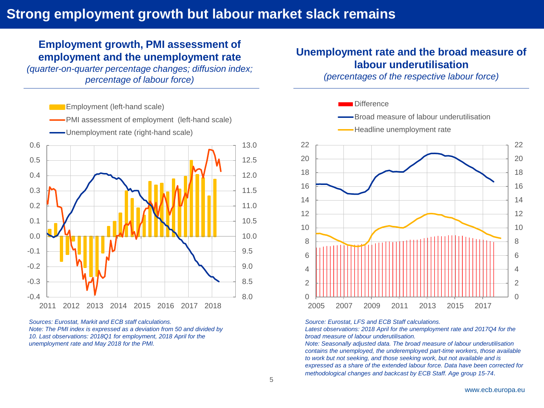## Strong employment growth but labour market slack remains

### **Employment growth, PMI assessment of employment and the unemployment rate**

*(quarter-on-quarter percentage changes; diffusion index; percentage of labour force)*



*Sources: Eurostat, Markit and ECB staff calculations. Note: The PMI index is expressed as a deviation from 50 and divided by 10. Last observations: 2018Q1 for employment, 2018 April for the unemployment rate and May 2018 for the PMI.*

### **Unemployment rate and the broad measure of labour underutilisation**

*(percentages of the respective labour force)*



*Source: Eurostat, LFS and ECB Staff calculations.*

Latest observations: 2018 April for the unemployment rate and 2017Q4 for the *broad measure of labour underutilisation.*

*Note: Seasonally adjusted data. The broad measure of labour underutilisation contains the unemployed, the underemployed part-time workers, those available to work but not seeking, and those seeking work, but not available and is expressed as a share of the extended labour force. Data have been corrected for methodological changes and backcast by ECB Staff. Age group 15-74*.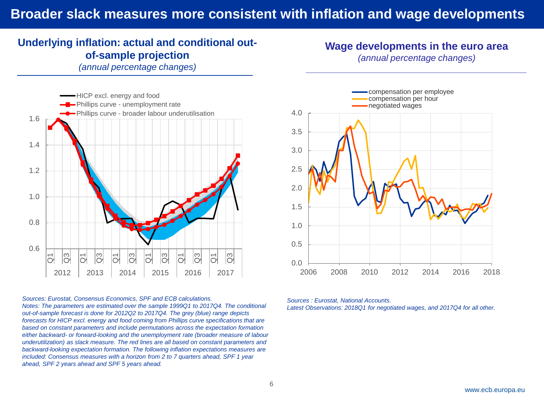## Broader slack measures more consistent with inflation and wage developments

## **Underlying inflation: actual and conditional outof-sample projection**

*(annual percentage changes)*



#### *Sources: Eurostat, Consensus Economics, SPF and ECB calculations.*

*Notes: The parameters are estimated over the sample 1999Q1 to 2017Q4. The conditional out-of-sample forecast is done for 2012Q2 to 2017Q4. The grey (blue) range depicts forecasts for HICP excl. energy and food coming from Phillips curve specifications that are based on constant parameters and include permutations across the expectation formation either backward- or forward-looking and the unemployment rate (broader measure of labour underutilization) as slack measure. The red lines are all based on constant parameters and backward-looking expectation formation. The following inflation expectations measures are included: Consensus measures with a horizon from 2 to 7 quarters ahead, SPF 1 year ahead, SPF 2 years ahead and SPF 5 years ahead.* 



**Wage developments in the euro area** *(annual percentage changes) \_\_\_\_\_\_\_\_\_\_\_\_\_\_\_\_\_\_\_\_\_\_\_\_\_\_\_\_\_\_\_\_\_\_\_\_\_\_\_\_\_\_\_\_*

## *Latest Observations: 2018Q1 for negotiated wages, and 2017Q4 for all other.*

*Sources : Eurostat, National Accounts.*

www.ecb.europa.eu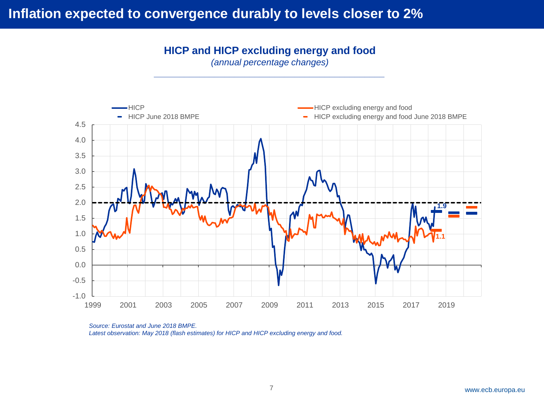## Inflation expected to convergence durably to levels closer to 2**%**

**HICP and HICP excluding energy and food**

*(annual percentage changes) \_\_\_\_\_\_\_\_\_\_\_\_\_\_\_\_\_\_\_\_\_\_\_\_\_\_\_\_\_\_\_\_\_\_\_\_\_\_\_\_\_\_\_\_\_\_*



*Source: Eurostat and June 2018 BMPE. Latest observation: May 2018 (flash estimates) for HICP and HICP excluding energy and food.*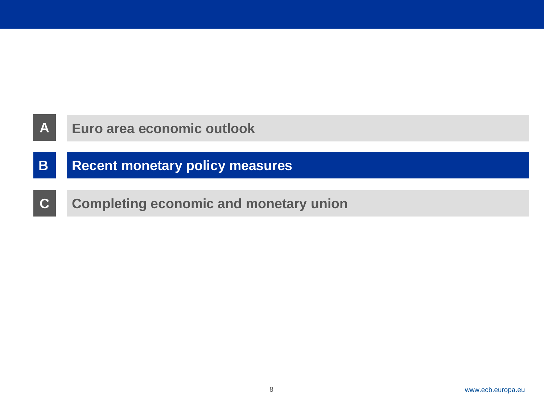

## **B Recent monetary policy measures**

**C Completing economic and monetary union**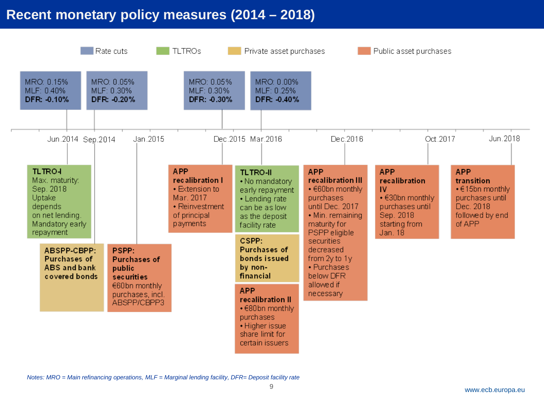## **Recent monetary policy measures (2014 – 2018)**



*Notes: MRO = Main refinancing operations, MLF = Marginal lending facility, DFR= Deposit facility rate*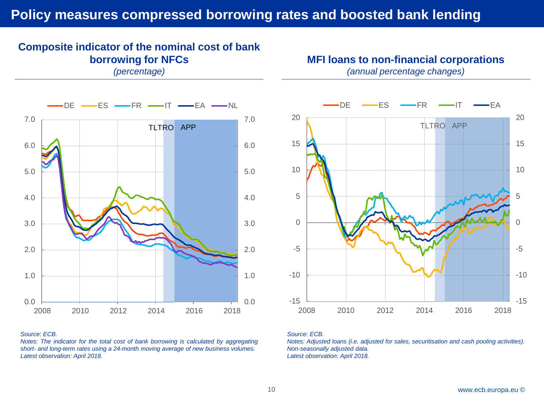## **Policy measures compressed borrowing rates and boosted bank lending**

## **Composite indicator of the nominal cost of bank borrowing for NFCs**

*(percentage)*





#### *Source: ECB.*

*Notes: The indicator for the total cost of bank borrowing is calculated by aggregating short- and long-term rates using a 24-month moving average of new business volumes. Latest observation: April 2018.*



#### *Source: ECB.*

*Notes: Adjusted loans (i.e. adjusted for sales, securitisation and cash pooling activities). Non-seasonally adjusted data. Latest observation: April 2018.*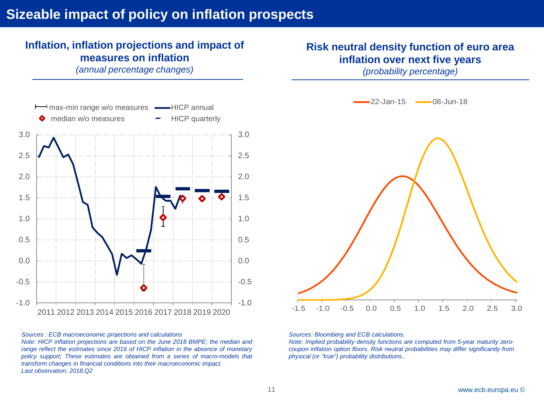## Sizeable impact of policy on inflation prospects

## **Inflation, inflation projections and impact of measures on inflation**

*(annual percentage changes)*



#### *Sources : ECB macroeconomic projections and calculations*

*Note: HICP inflation projections are based on the June 2018 BMPE; the median and range reflect the estimates since 2016 of HICP inflation in the absence of monetary policy support; These estimates are obtained from a series of macro-models that transform changes in financial conditions into their macroeconomic impact. Last observation: 2018.Q2*

## **Risk neutral density function of euro area inflation over next five years**

*(probability percentage)*



#### *Sources: Bloomberg and ECB calculations.*

*Note: Implied probability density functions are computed from 5-year maturity zerocoupon inflation option floors. Risk neutral probabilities may differ significantly from physical (or "true") probability distributions..*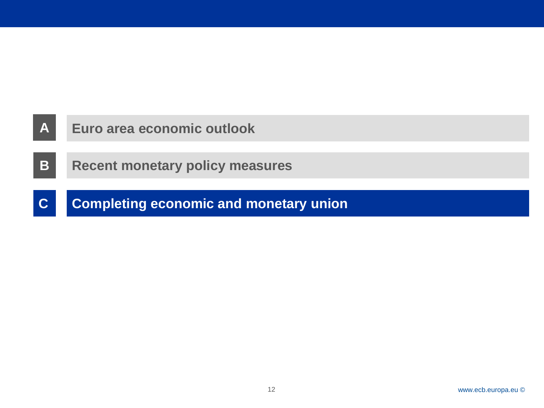

**C Completing economic and monetary union**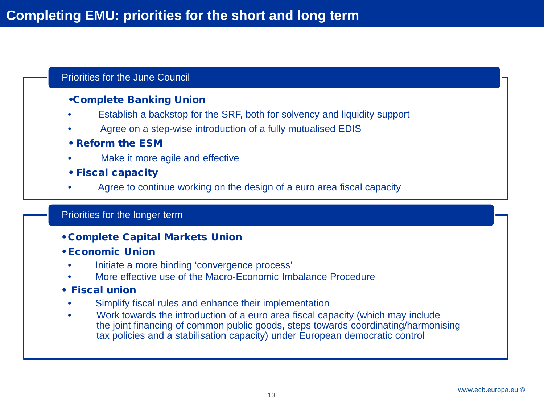### Priorities for the June Council

### •Complete Banking Union

- Establish a backstop for the SRF, both for solvency and liquidity support
- Agree on a step-wise introduction of a fully mutualised EDIS
- Reform the ESM
- Make it more agile and effective
- Fiscal capacity
- Agree to continue working on the design of a euro area fiscal capacity

#### Priorities for the longer term

- Complete Capital Markets Union
- Economic Union
	- Initiate a more binding 'convergence process'
	- More effective use of the Macro-Economic Imbalance Procedure
- Fiscal union
	- Simplify fiscal rules and enhance their implementation
	- Work towards the introduction of a euro area fiscal capacity (which may include the joint financing of common public goods, steps towards coordinating/harmonising tax policies and a stabilisation capacity) under European democratic control